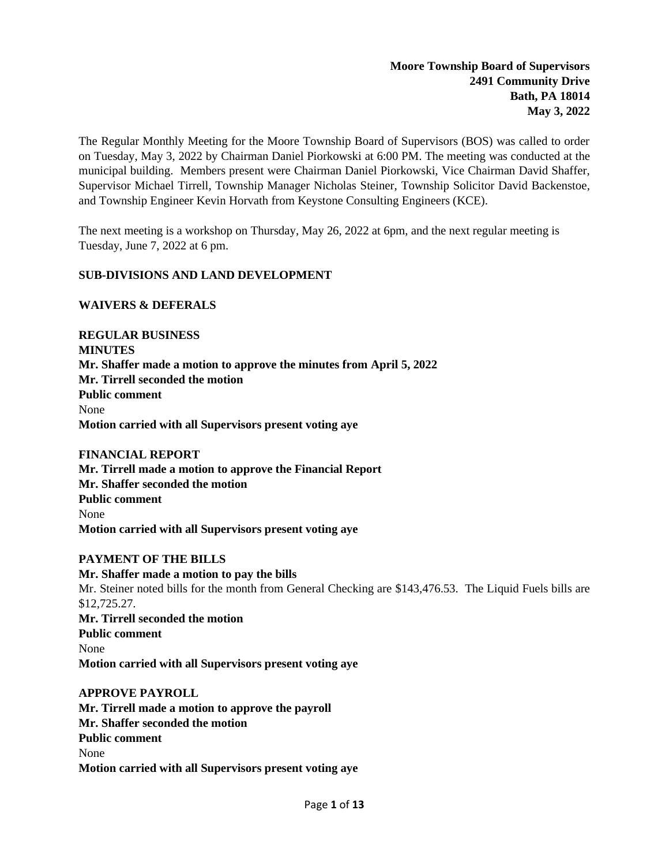The Regular Monthly Meeting for the Moore Township Board of Supervisors (BOS) was called to order on Tuesday, May 3, 2022 by Chairman Daniel Piorkowski at 6:00 PM. The meeting was conducted at the municipal building. Members present were Chairman Daniel Piorkowski, Vice Chairman David Shaffer, Supervisor Michael Tirrell, Township Manager Nicholas Steiner, Township Solicitor David Backenstoe, and Township Engineer Kevin Horvath from Keystone Consulting Engineers (KCE).

The next meeting is a workshop on Thursday, May 26, 2022 at 6pm, and the next regular meeting is Tuesday, June 7, 2022 at 6 pm.

#### **SUB-DIVISIONS AND LAND DEVELOPMENT**

#### **WAIVERS & DEFERALS**

**REGULAR BUSINESS MINUTES Mr. Shaffer made a motion to approve the minutes from April 5, 2022 Mr. Tirrell seconded the motion Public comment** None **Motion carried with all Supervisors present voting aye**

# **FINANCIAL REPORT**

**Mr. Tirrell made a motion to approve the Financial Report Mr. Shaffer seconded the motion Public comment** None **Motion carried with all Supervisors present voting aye**

## **PAYMENT OF THE BILLS**

**Mr. Shaffer made a motion to pay the bills** Mr. Steiner noted bills for the month from General Checking are \$143,476.53. The Liquid Fuels bills are \$12,725.27. **Mr. Tirrell seconded the motion Public comment** None **Motion carried with all Supervisors present voting aye**

#### **APPROVE PAYROLL**

**Mr. Tirrell made a motion to approve the payroll Mr. Shaffer seconded the motion Public comment** None **Motion carried with all Supervisors present voting aye**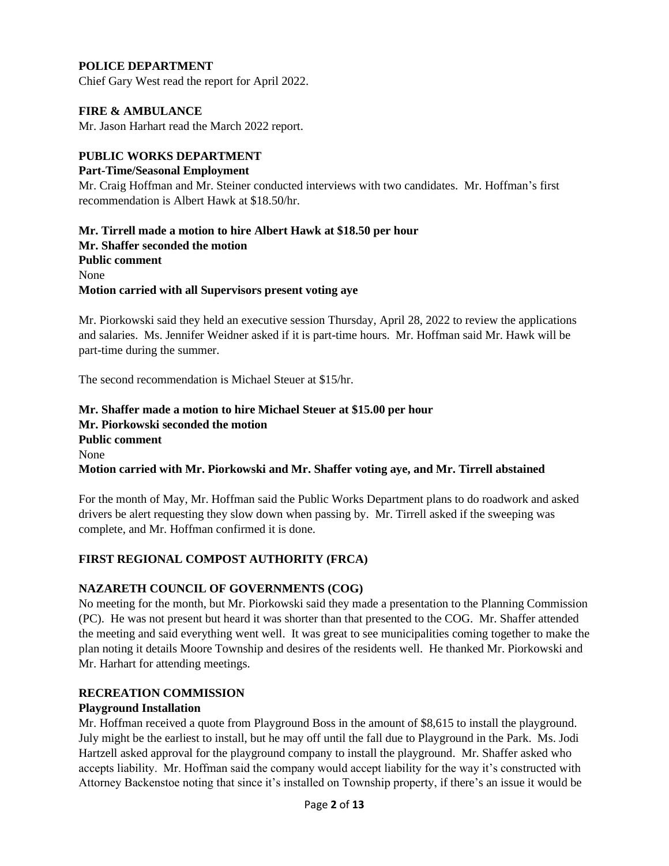# **POLICE DEPARTMENT**

Chief Gary West read the report for April 2022.

#### **FIRE & AMBULANCE**

Mr. Jason Harhart read the March 2022 report.

#### **PUBLIC WORKS DEPARTMENT**

#### **Part-Time/Seasonal Employment**

Mr. Craig Hoffman and Mr. Steiner conducted interviews with two candidates. Mr. Hoffman's first recommendation is Albert Hawk at \$18.50/hr.

**Mr. Tirrell made a motion to hire Albert Hawk at \$18.50 per hour Mr. Shaffer seconded the motion Public comment** None **Motion carried with all Supervisors present voting aye**

Mr. Piorkowski said they held an executive session Thursday, April 28, 2022 to review the applications and salaries. Ms. Jennifer Weidner asked if it is part-time hours. Mr. Hoffman said Mr. Hawk will be part-time during the summer.

The second recommendation is Michael Steuer at \$15/hr.

**Mr. Shaffer made a motion to hire Michael Steuer at \$15.00 per hour Mr. Piorkowski seconded the motion Public comment** None **Motion carried with Mr. Piorkowski and Mr. Shaffer voting aye, and Mr. Tirrell abstained**

For the month of May, Mr. Hoffman said the Public Works Department plans to do roadwork and asked drivers be alert requesting they slow down when passing by. Mr. Tirrell asked if the sweeping was complete, and Mr. Hoffman confirmed it is done.

## **FIRST REGIONAL COMPOST AUTHORITY (FRCA)**

#### **NAZARETH COUNCIL OF GOVERNMENTS (COG)**

No meeting for the month, but Mr. Piorkowski said they made a presentation to the Planning Commission (PC). He was not present but heard it was shorter than that presented to the COG. Mr. Shaffer attended the meeting and said everything went well. It was great to see municipalities coming together to make the plan noting it details Moore Township and desires of the residents well. He thanked Mr. Piorkowski and Mr. Harhart for attending meetings.

#### **RECREATION COMMISSION**

#### **Playground Installation**

Mr. Hoffman received a quote from Playground Boss in the amount of \$8,615 to install the playground. July might be the earliest to install, but he may off until the fall due to Playground in the Park. Ms. Jodi Hartzell asked approval for the playground company to install the playground. Mr. Shaffer asked who accepts liability. Mr. Hoffman said the company would accept liability for the way it's constructed with Attorney Backenstoe noting that since it's installed on Township property, if there's an issue it would be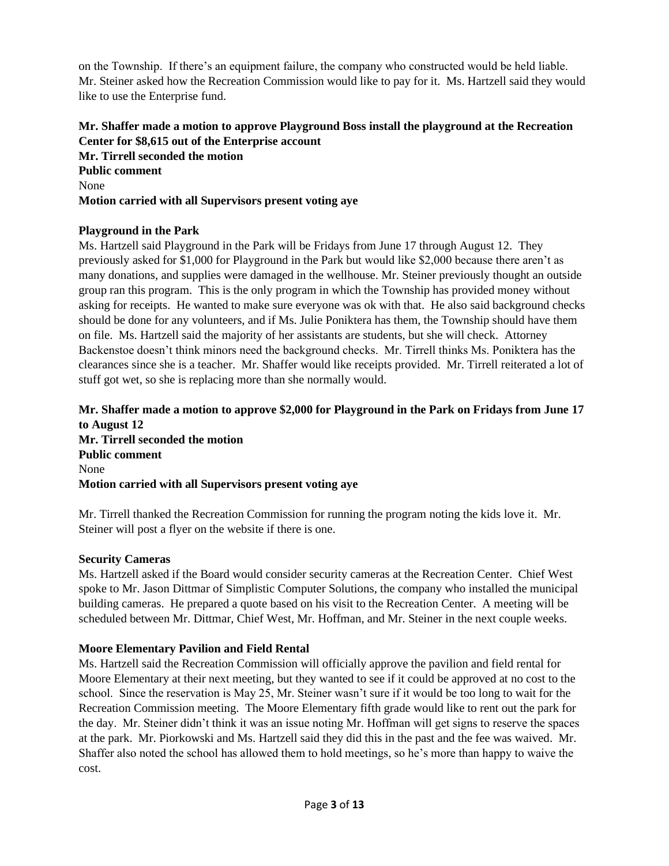on the Township. If there's an equipment failure, the company who constructed would be held liable. Mr. Steiner asked how the Recreation Commission would like to pay for it. Ms. Hartzell said they would like to use the Enterprise fund.

# **Mr. Shaffer made a motion to approve Playground Boss install the playground at the Recreation Center for \$8,615 out of the Enterprise account Mr. Tirrell seconded the motion Public comment** None **Motion carried with all Supervisors present voting aye**

# **Playground in the Park**

Ms. Hartzell said Playground in the Park will be Fridays from June 17 through August 12. They previously asked for \$1,000 for Playground in the Park but would like \$2,000 because there aren't as many donations, and supplies were damaged in the wellhouse. Mr. Steiner previously thought an outside group ran this program. This is the only program in which the Township has provided money without asking for receipts. He wanted to make sure everyone was ok with that. He also said background checks should be done for any volunteers, and if Ms. Julie Poniktera has them, the Township should have them on file. Ms. Hartzell said the majority of her assistants are students, but she will check. Attorney Backenstoe doesn't think minors need the background checks. Mr. Tirrell thinks Ms. Poniktera has the clearances since she is a teacher. Mr. Shaffer would like receipts provided. Mr. Tirrell reiterated a lot of stuff got wet, so she is replacing more than she normally would.

## **Mr. Shaffer made a motion to approve \$2,000 for Playground in the Park on Fridays from June 17 to August 12 Mr. Tirrell seconded the motion Public comment** None **Motion carried with all Supervisors present voting aye**

Mr. Tirrell thanked the Recreation Commission for running the program noting the kids love it. Mr. Steiner will post a flyer on the website if there is one.

## **Security Cameras**

Ms. Hartzell asked if the Board would consider security cameras at the Recreation Center. Chief West spoke to Mr. Jason Dittmar of Simplistic Computer Solutions, the company who installed the municipal building cameras. He prepared a quote based on his visit to the Recreation Center. A meeting will be scheduled between Mr. Dittmar, Chief West, Mr. Hoffman, and Mr. Steiner in the next couple weeks.

## **Moore Elementary Pavilion and Field Rental**

Ms. Hartzell said the Recreation Commission will officially approve the pavilion and field rental for Moore Elementary at their next meeting, but they wanted to see if it could be approved at no cost to the school. Since the reservation is May 25, Mr. Steiner wasn't sure if it would be too long to wait for the Recreation Commission meeting. The Moore Elementary fifth grade would like to rent out the park for the day. Mr. Steiner didn't think it was an issue noting Mr. Hoffman will get signs to reserve the spaces at the park. Mr. Piorkowski and Ms. Hartzell said they did this in the past and the fee was waived. Mr. Shaffer also noted the school has allowed them to hold meetings, so he's more than happy to waive the cost.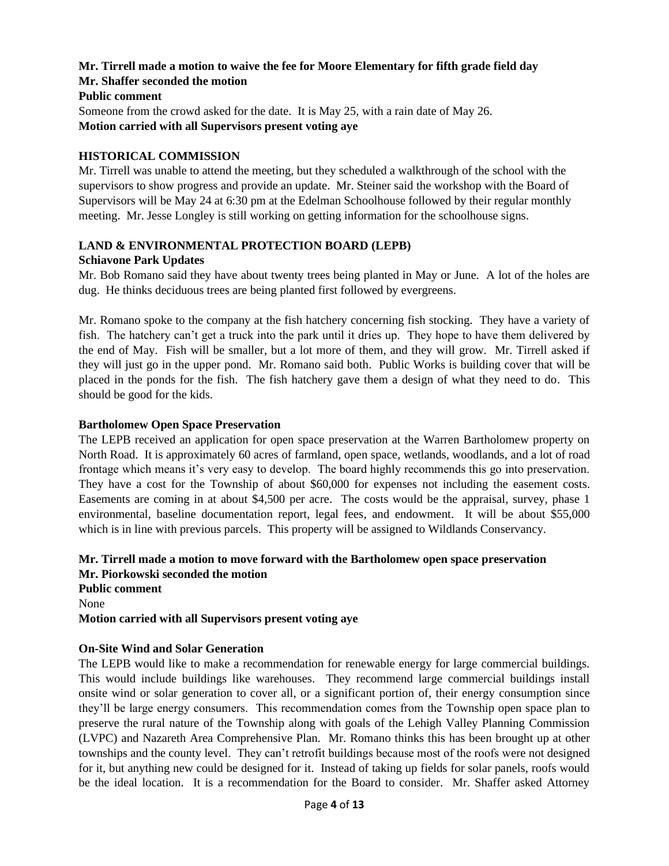# **Mr. Tirrell made a motion to waive the fee for Moore Elementary for fifth grade field day Mr. Shaffer seconded the motion**

## **Public comment**

Someone from the crowd asked for the date. It is May 25, with a rain date of May 26. **Motion carried with all Supervisors present voting aye**

## **HISTORICAL COMMISSION**

Mr. Tirrell was unable to attend the meeting, but they scheduled a walkthrough of the school with the supervisors to show progress and provide an update. Mr. Steiner said the workshop with the Board of Supervisors will be May 24 at 6:30 pm at the Edelman Schoolhouse followed by their regular monthly meeting. Mr. Jesse Longley is still working on getting information for the schoolhouse signs.

# **LAND & ENVIRONMENTAL PROTECTION BOARD (LEPB)**

#### **Schiavone Park Updates**

Mr. Bob Romano said they have about twenty trees being planted in May or June. A lot of the holes are dug. He thinks deciduous trees are being planted first followed by evergreens.

Mr. Romano spoke to the company at the fish hatchery concerning fish stocking. They have a variety of fish. The hatchery can't get a truck into the park until it dries up. They hope to have them delivered by the end of May. Fish will be smaller, but a lot more of them, and they will grow. Mr. Tirrell asked if they will just go in the upper pond. Mr. Romano said both. Public Works is building cover that will be placed in the ponds for the fish. The fish hatchery gave them a design of what they need to do. This should be good for the kids.

## **Bartholomew Open Space Preservation**

The LEPB received an application for open space preservation at the Warren Bartholomew property on North Road. It is approximately 60 acres of farmland, open space, wetlands, woodlands, and a lot of road frontage which means it's very easy to develop. The board highly recommends this go into preservation. They have a cost for the Township of about \$60,000 for expenses not including the easement costs. Easements are coming in at about \$4,500 per acre. The costs would be the appraisal, survey, phase 1 environmental, baseline documentation report, legal fees, and endowment. It will be about \$55,000 which is in line with previous parcels. This property will be assigned to Wildlands Conservancy.

# **Mr. Tirrell made a motion to move forward with the Bartholomew open space preservation Mr. Piorkowski seconded the motion**

**Public comment** None **Motion carried with all Supervisors present voting aye**

## **On-Site Wind and Solar Generation**

The LEPB would like to make a recommendation for renewable energy for large commercial buildings. This would include buildings like warehouses. They recommend large commercial buildings install onsite wind or solar generation to cover all, or a significant portion of, their energy consumption since they'll be large energy consumers. This recommendation comes from the Township open space plan to preserve the rural nature of the Township along with goals of the Lehigh Valley Planning Commission (LVPC) and Nazareth Area Comprehensive Plan. Mr. Romano thinks this has been brought up at other townships and the county level. They can't retrofit buildings because most of the roofs were not designed for it, but anything new could be designed for it. Instead of taking up fields for solar panels, roofs would be the ideal location. It is a recommendation for the Board to consider. Mr. Shaffer asked Attorney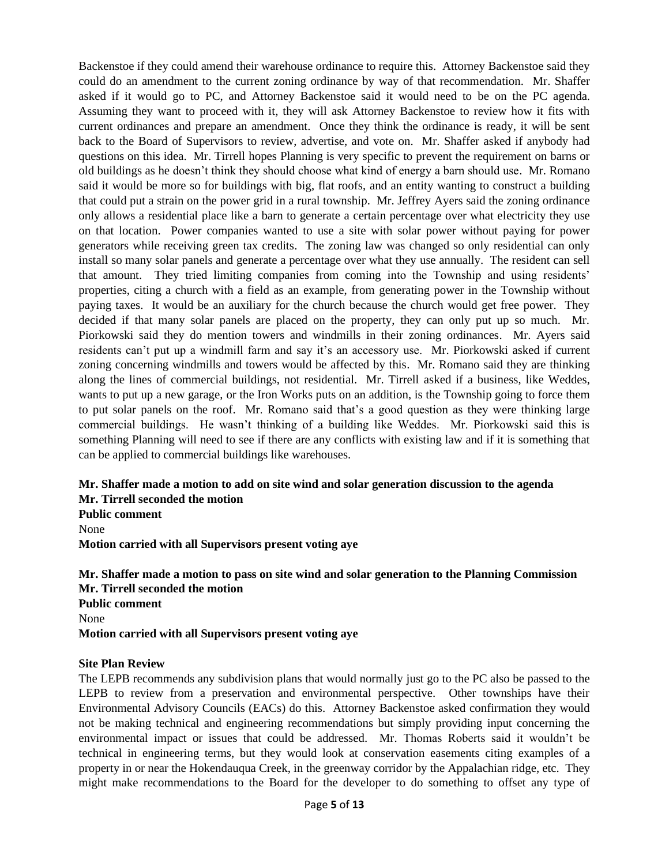Backenstoe if they could amend their warehouse ordinance to require this. Attorney Backenstoe said they could do an amendment to the current zoning ordinance by way of that recommendation. Mr. Shaffer asked if it would go to PC, and Attorney Backenstoe said it would need to be on the PC agenda. Assuming they want to proceed with it, they will ask Attorney Backenstoe to review how it fits with current ordinances and prepare an amendment. Once they think the ordinance is ready, it will be sent back to the Board of Supervisors to review, advertise, and vote on. Mr. Shaffer asked if anybody had questions on this idea. Mr. Tirrell hopes Planning is very specific to prevent the requirement on barns or old buildings as he doesn't think they should choose what kind of energy a barn should use. Mr. Romano said it would be more so for buildings with big, flat roofs, and an entity wanting to construct a building that could put a strain on the power grid in a rural township. Mr. Jeffrey Ayers said the zoning ordinance only allows a residential place like a barn to generate a certain percentage over what electricity they use on that location. Power companies wanted to use a site with solar power without paying for power generators while receiving green tax credits. The zoning law was changed so only residential can only install so many solar panels and generate a percentage over what they use annually. The resident can sell that amount. They tried limiting companies from coming into the Township and using residents' properties, citing a church with a field as an example, from generating power in the Township without paying taxes. It would be an auxiliary for the church because the church would get free power. They decided if that many solar panels are placed on the property, they can only put up so much. Mr. Piorkowski said they do mention towers and windmills in their zoning ordinances. Mr. Ayers said residents can't put up a windmill farm and say it's an accessory use. Mr. Piorkowski asked if current zoning concerning windmills and towers would be affected by this. Mr. Romano said they are thinking along the lines of commercial buildings, not residential. Mr. Tirrell asked if a business, like Weddes, wants to put up a new garage, or the Iron Works puts on an addition, is the Township going to force them to put solar panels on the roof. Mr. Romano said that's a good question as they were thinking large commercial buildings. He wasn't thinking of a building like Weddes. Mr. Piorkowski said this is something Planning will need to see if there are any conflicts with existing law and if it is something that can be applied to commercial buildings like warehouses.

# **Mr. Shaffer made a motion to add on site wind and solar generation discussion to the agenda Mr. Tirrell seconded the motion**

**Public comment** None **Motion carried with all Supervisors present voting aye**

**Mr. Shaffer made a motion to pass on site wind and solar generation to the Planning Commission Mr. Tirrell seconded the motion Public comment** None **Motion carried with all Supervisors present voting aye**

#### **Site Plan Review**

The LEPB recommends any subdivision plans that would normally just go to the PC also be passed to the LEPB to review from a preservation and environmental perspective. Other townships have their Environmental Advisory Councils (EACs) do this. Attorney Backenstoe asked confirmation they would not be making technical and engineering recommendations but simply providing input concerning the environmental impact or issues that could be addressed. Mr. Thomas Roberts said it wouldn't be technical in engineering terms, but they would look at conservation easements citing examples of a property in or near the Hokendauqua Creek, in the greenway corridor by the Appalachian ridge, etc. They might make recommendations to the Board for the developer to do something to offset any type of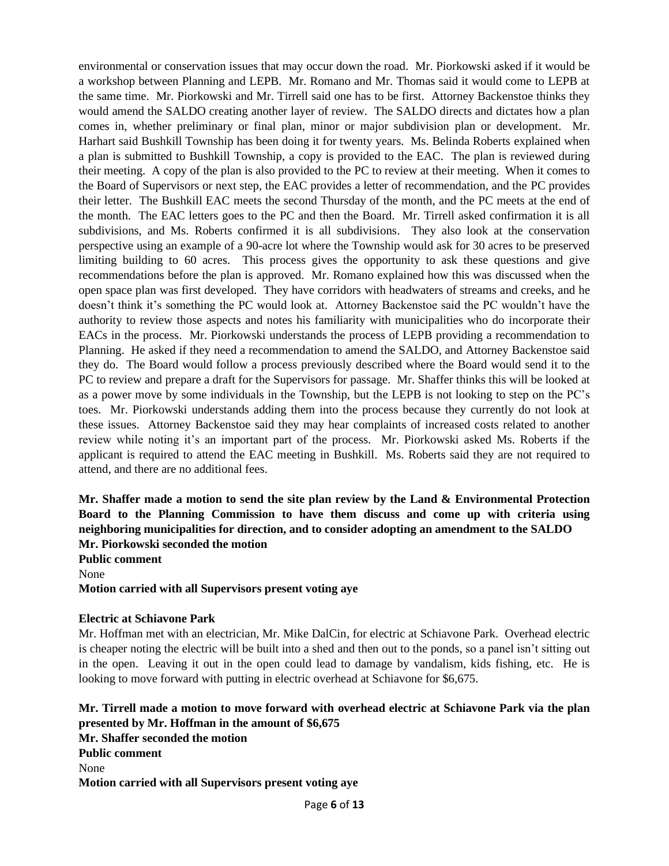environmental or conservation issues that may occur down the road. Mr. Piorkowski asked if it would be a workshop between Planning and LEPB. Mr. Romano and Mr. Thomas said it would come to LEPB at the same time. Mr. Piorkowski and Mr. Tirrell said one has to be first. Attorney Backenstoe thinks they would amend the SALDO creating another layer of review. The SALDO directs and dictates how a plan comes in, whether preliminary or final plan, minor or major subdivision plan or development. Mr. Harhart said Bushkill Township has been doing it for twenty years. Ms. Belinda Roberts explained when a plan is submitted to Bushkill Township, a copy is provided to the EAC. The plan is reviewed during their meeting. A copy of the plan is also provided to the PC to review at their meeting. When it comes to the Board of Supervisors or next step, the EAC provides a letter of recommendation, and the PC provides their letter. The Bushkill EAC meets the second Thursday of the month, and the PC meets at the end of the month. The EAC letters goes to the PC and then the Board. Mr. Tirrell asked confirmation it is all subdivisions, and Ms. Roberts confirmed it is all subdivisions. They also look at the conservation perspective using an example of a 90-acre lot where the Township would ask for 30 acres to be preserved limiting building to 60 acres. This process gives the opportunity to ask these questions and give recommendations before the plan is approved. Mr. Romano explained how this was discussed when the open space plan was first developed. They have corridors with headwaters of streams and creeks, and he doesn't think it's something the PC would look at. Attorney Backenstoe said the PC wouldn't have the authority to review those aspects and notes his familiarity with municipalities who do incorporate their EACs in the process. Mr. Piorkowski understands the process of LEPB providing a recommendation to Planning. He asked if they need a recommendation to amend the SALDO, and Attorney Backenstoe said they do. The Board would follow a process previously described where the Board would send it to the PC to review and prepare a draft for the Supervisors for passage. Mr. Shaffer thinks this will be looked at as a power move by some individuals in the Township, but the LEPB is not looking to step on the PC's toes. Mr. Piorkowski understands adding them into the process because they currently do not look at these issues. Attorney Backenstoe said they may hear complaints of increased costs related to another review while noting it's an important part of the process. Mr. Piorkowski asked Ms. Roberts if the applicant is required to attend the EAC meeting in Bushkill. Ms. Roberts said they are not required to attend, and there are no additional fees.

**Mr. Shaffer made a motion to send the site plan review by the Land & Environmental Protection Board to the Planning Commission to have them discuss and come up with criteria using neighboring municipalities for direction, and to consider adopting an amendment to the SALDO Mr. Piorkowski seconded the motion Public comment** None **Motion carried with all Supervisors present voting aye**

#### **Electric at Schiavone Park**

Mr. Hoffman met with an electrician, Mr. Mike DalCin, for electric at Schiavone Park. Overhead electric is cheaper noting the electric will be built into a shed and then out to the ponds, so a panel isn't sitting out in the open. Leaving it out in the open could lead to damage by vandalism, kids fishing, etc. He is looking to move forward with putting in electric overhead at Schiavone for \$6,675.

# **Mr. Tirrell made a motion to move forward with overhead electric at Schiavone Park via the plan presented by Mr. Hoffman in the amount of \$6,675**

**Mr. Shaffer seconded the motion Public comment** None **Motion carried with all Supervisors present voting aye**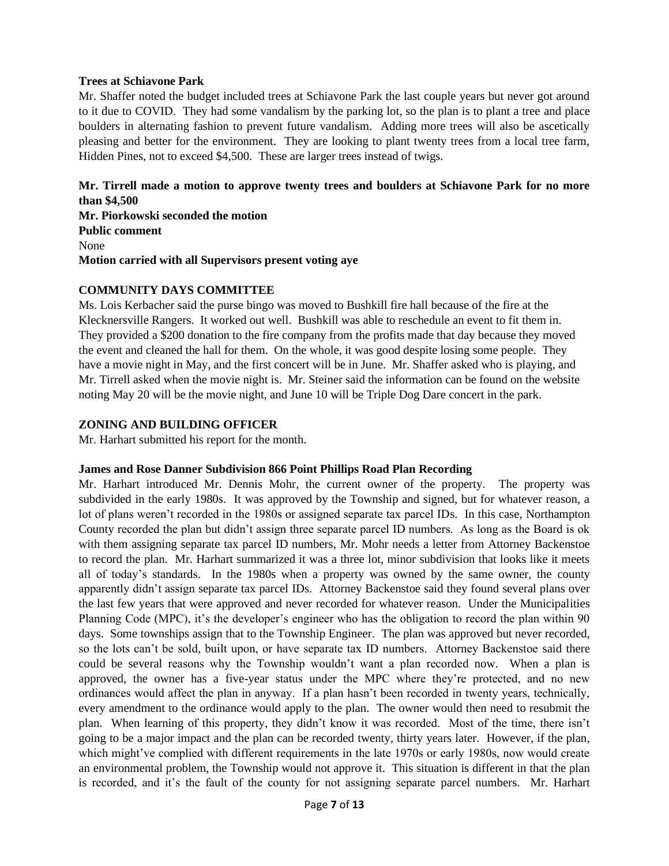#### **Trees at Schiavone Park**

Mr. Shaffer noted the budget included trees at Schiavone Park the last couple years but never got around to it due to COVID. They had some vandalism by the parking lot, so the plan is to plant a tree and place boulders in alternating fashion to prevent future vandalism. Adding more trees will also be ascetically pleasing and better for the environment. They are looking to plant twenty trees from a local tree farm, Hidden Pines, not to exceed \$4,500. These are larger trees instead of twigs.

## **Mr. Tirrell made a motion to approve twenty trees and boulders at Schiavone Park for no more than \$4,500**

**Mr. Piorkowski seconded the motion Public comment** None **Motion carried with all Supervisors present voting aye**

#### **COMMUNITY DAYS COMMITTEE**

Ms. Lois Kerbacher said the purse bingo was moved to Bushkill fire hall because of the fire at the Klecknersville Rangers. It worked out well. Bushkill was able to reschedule an event to fit them in. They provided a \$200 donation to the fire company from the profits made that day because they moved the event and cleaned the hall for them. On the whole, it was good despite losing some people. They have a movie night in May, and the first concert will be in June. Mr. Shaffer asked who is playing, and Mr. Tirrell asked when the movie night is. Mr. Steiner said the information can be found on the website noting May 20 will be the movie night, and June 10 will be Triple Dog Dare concert in the park.

#### **ZONING AND BUILDING OFFICER**

Mr. Harhart submitted his report for the month.

## **James and Rose Danner Subdivision 866 Point Phillips Road Plan Recording**

Mr. Harhart introduced Mr. Dennis Mohr, the current owner of the property. The property was subdivided in the early 1980s. It was approved by the Township and signed, but for whatever reason, a lot of plans weren't recorded in the 1980s or assigned separate tax parcel IDs. In this case, Northampton County recorded the plan but didn't assign three separate parcel ID numbers. As long as the Board is ok with them assigning separate tax parcel ID numbers, Mr. Mohr needs a letter from Attorney Backenstoe to record the plan. Mr. Harhart summarized it was a three lot, minor subdivision that looks like it meets all of today's standards. In the 1980s when a property was owned by the same owner, the county apparently didn't assign separate tax parcel IDs. Attorney Backenstoe said they found several plans over the last few years that were approved and never recorded for whatever reason. Under the Municipalities Planning Code (MPC), it's the developer's engineer who has the obligation to record the plan within 90 days. Some townships assign that to the Township Engineer. The plan was approved but never recorded, so the lots can't be sold, built upon, or have separate tax ID numbers. Attorney Backenstoe said there could be several reasons why the Township wouldn't want a plan recorded now. When a plan is approved, the owner has a five-year status under the MPC where they're protected, and no new ordinances would affect the plan in anyway. If a plan hasn't been recorded in twenty years, technically, every amendment to the ordinance would apply to the plan. The owner would then need to resubmit the plan. When learning of this property, they didn't know it was recorded. Most of the time, there isn't going to be a major impact and the plan can be recorded twenty, thirty years later. However, if the plan, which might've complied with different requirements in the late 1970s or early 1980s, now would create an environmental problem, the Township would not approve it. This situation is different in that the plan is recorded, and it's the fault of the county for not assigning separate parcel numbers. Mr. Harhart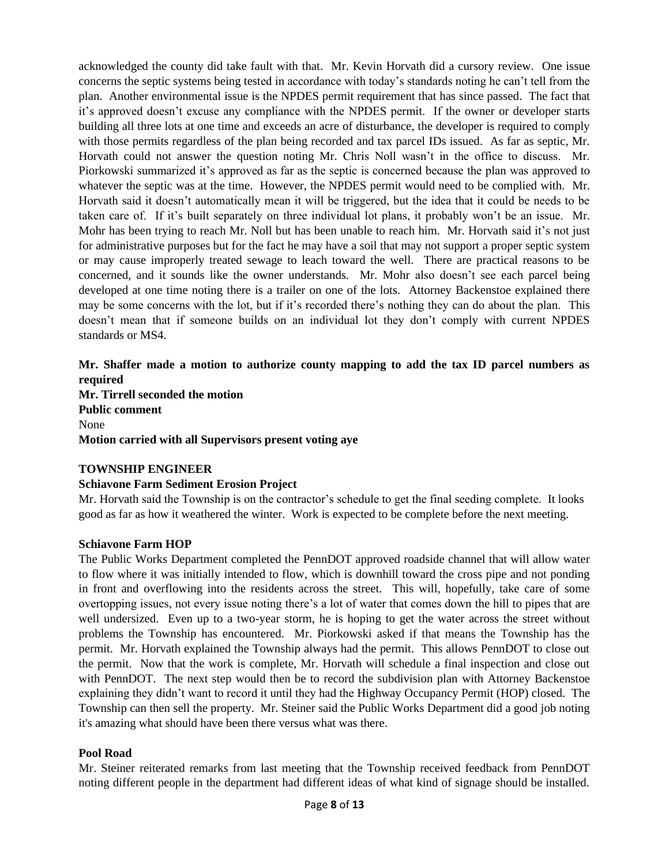acknowledged the county did take fault with that. Mr. Kevin Horvath did a cursory review. One issue concerns the septic systems being tested in accordance with today's standards noting he can't tell from the plan. Another environmental issue is the NPDES permit requirement that has since passed. The fact that it's approved doesn't excuse any compliance with the NPDES permit. If the owner or developer starts building all three lots at one time and exceeds an acre of disturbance, the developer is required to comply with those permits regardless of the plan being recorded and tax parcel IDs issued. As far as septic, Mr. Horvath could not answer the question noting Mr. Chris Noll wasn't in the office to discuss. Mr. Piorkowski summarized it's approved as far as the septic is concerned because the plan was approved to whatever the septic was at the time. However, the NPDES permit would need to be complied with. Mr. Horvath said it doesn't automatically mean it will be triggered, but the idea that it could be needs to be taken care of. If it's built separately on three individual lot plans, it probably won't be an issue. Mr. Mohr has been trying to reach Mr. Noll but has been unable to reach him. Mr. Horvath said it's not just for administrative purposes but for the fact he may have a soil that may not support a proper septic system or may cause improperly treated sewage to leach toward the well. There are practical reasons to be concerned, and it sounds like the owner understands. Mr. Mohr also doesn't see each parcel being developed at one time noting there is a trailer on one of the lots. Attorney Backenstoe explained there may be some concerns with the lot, but if it's recorded there's nothing they can do about the plan. This doesn't mean that if someone builds on an individual lot they don't comply with current NPDES standards or MS4.

### **Mr. Shaffer made a motion to authorize county mapping to add the tax ID parcel numbers as required Mr. Tirrell seconded the motion Public comment** None **Motion carried with all Supervisors present voting aye**

## **TOWNSHIP ENGINEER**

## **Schiavone Farm Sediment Erosion Project**

Mr. Horvath said the Township is on the contractor's schedule to get the final seeding complete. It looks good as far as how it weathered the winter. Work is expected to be complete before the next meeting.

#### **Schiavone Farm HOP**

The Public Works Department completed the PennDOT approved roadside channel that will allow water to flow where it was initially intended to flow, which is downhill toward the cross pipe and not ponding in front and overflowing into the residents across the street. This will, hopefully, take care of some overtopping issues, not every issue noting there's a lot of water that comes down the hill to pipes that are well undersized. Even up to a two-year storm, he is hoping to get the water across the street without problems the Township has encountered. Mr. Piorkowski asked if that means the Township has the permit. Mr. Horvath explained the Township always had the permit. This allows PennDOT to close out the permit. Now that the work is complete, Mr. Horvath will schedule a final inspection and close out with PennDOT. The next step would then be to record the subdivision plan with Attorney Backenstoe explaining they didn't want to record it until they had the Highway Occupancy Permit (HOP) closed. The Township can then sell the property. Mr. Steiner said the Public Works Department did a good job noting it's amazing what should have been there versus what was there.

#### **Pool Road**

Mr. Steiner reiterated remarks from last meeting that the Township received feedback from PennDOT noting different people in the department had different ideas of what kind of signage should be installed.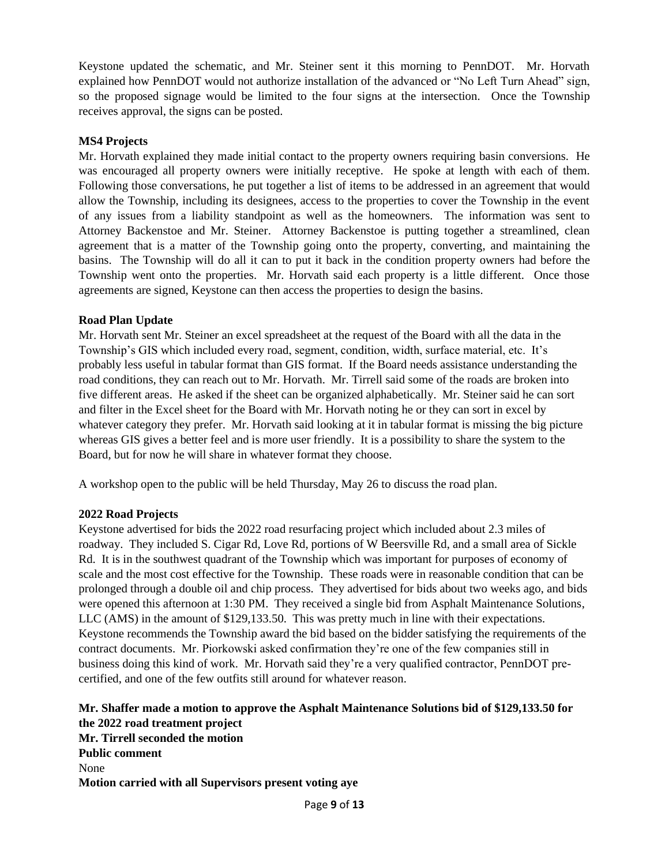Keystone updated the schematic, and Mr. Steiner sent it this morning to PennDOT. Mr. Horvath explained how PennDOT would not authorize installation of the advanced or "No Left Turn Ahead" sign, so the proposed signage would be limited to the four signs at the intersection. Once the Township receives approval, the signs can be posted.

### **MS4 Projects**

Mr. Horvath explained they made initial contact to the property owners requiring basin conversions. He was encouraged all property owners were initially receptive. He spoke at length with each of them. Following those conversations, he put together a list of items to be addressed in an agreement that would allow the Township, including its designees, access to the properties to cover the Township in the event of any issues from a liability standpoint as well as the homeowners. The information was sent to Attorney Backenstoe and Mr. Steiner. Attorney Backenstoe is putting together a streamlined, clean agreement that is a matter of the Township going onto the property, converting, and maintaining the basins. The Township will do all it can to put it back in the condition property owners had before the Township went onto the properties. Mr. Horvath said each property is a little different. Once those agreements are signed, Keystone can then access the properties to design the basins.

#### **Road Plan Update**

Mr. Horvath sent Mr. Steiner an excel spreadsheet at the request of the Board with all the data in the Township's GIS which included every road, segment, condition, width, surface material, etc. It's probably less useful in tabular format than GIS format. If the Board needs assistance understanding the road conditions, they can reach out to Mr. Horvath. Mr. Tirrell said some of the roads are broken into five different areas. He asked if the sheet can be organized alphabetically. Mr. Steiner said he can sort and filter in the Excel sheet for the Board with Mr. Horvath noting he or they can sort in excel by whatever category they prefer. Mr. Horvath said looking at it in tabular format is missing the big picture whereas GIS gives a better feel and is more user friendly. It is a possibility to share the system to the Board, but for now he will share in whatever format they choose.

A workshop open to the public will be held Thursday, May 26 to discuss the road plan.

## **2022 Road Projects**

Keystone advertised for bids the 2022 road resurfacing project which included about 2.3 miles of roadway. They included S. Cigar Rd, Love Rd, portions of W Beersville Rd, and a small area of Sickle Rd. It is in the southwest quadrant of the Township which was important for purposes of economy of scale and the most cost effective for the Township. These roads were in reasonable condition that can be prolonged through a double oil and chip process. They advertised for bids about two weeks ago, and bids were opened this afternoon at 1:30 PM. They received a single bid from Asphalt Maintenance Solutions, LLC (AMS) in the amount of \$129,133.50. This was pretty much in line with their expectations. Keystone recommends the Township award the bid based on the bidder satisfying the requirements of the contract documents. Mr. Piorkowski asked confirmation they're one of the few companies still in business doing this kind of work. Mr. Horvath said they're a very qualified contractor, PennDOT precertified, and one of the few outfits still around for whatever reason.

**Mr. Shaffer made a motion to approve the Asphalt Maintenance Solutions bid of \$129,133.50 for the 2022 road treatment project Mr. Tirrell seconded the motion Public comment** None **Motion carried with all Supervisors present voting aye**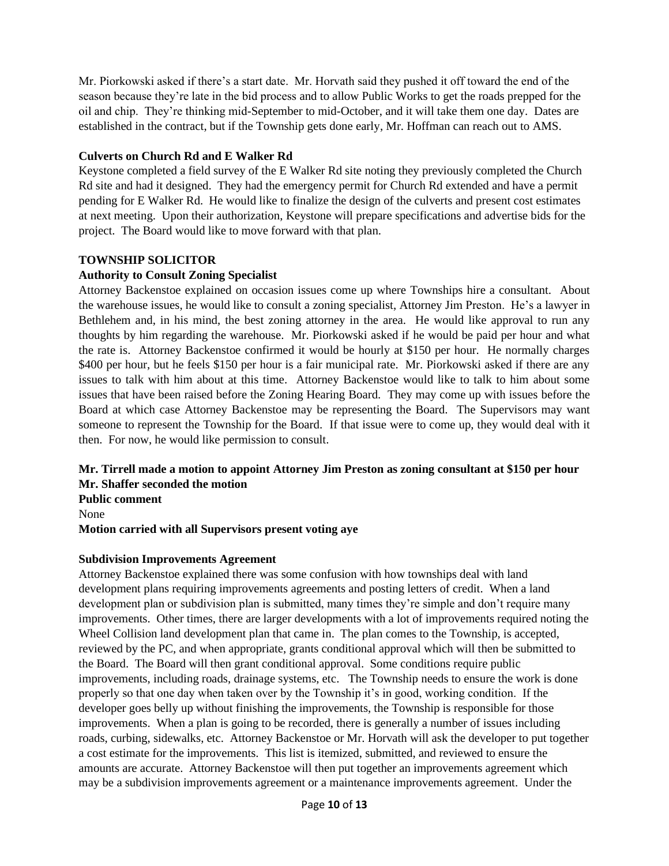Mr. Piorkowski asked if there's a start date. Mr. Horvath said they pushed it off toward the end of the season because they're late in the bid process and to allow Public Works to get the roads prepped for the oil and chip. They're thinking mid-September to mid-October, and it will take them one day. Dates are established in the contract, but if the Township gets done early, Mr. Hoffman can reach out to AMS.

## **Culverts on Church Rd and E Walker Rd**

Keystone completed a field survey of the E Walker Rd site noting they previously completed the Church Rd site and had it designed. They had the emergency permit for Church Rd extended and have a permit pending for E Walker Rd. He would like to finalize the design of the culverts and present cost estimates at next meeting. Upon their authorization, Keystone will prepare specifications and advertise bids for the project. The Board would like to move forward with that plan.

#### **TOWNSHIP SOLICITOR**

#### **Authority to Consult Zoning Specialist**

Attorney Backenstoe explained on occasion issues come up where Townships hire a consultant. About the warehouse issues, he would like to consult a zoning specialist, Attorney Jim Preston. He's a lawyer in Bethlehem and, in his mind, the best zoning attorney in the area. He would like approval to run any thoughts by him regarding the warehouse. Mr. Piorkowski asked if he would be paid per hour and what the rate is. Attorney Backenstoe confirmed it would be hourly at \$150 per hour. He normally charges \$400 per hour, but he feels \$150 per hour is a fair municipal rate. Mr. Piorkowski asked if there are any issues to talk with him about at this time. Attorney Backenstoe would like to talk to him about some issues that have been raised before the Zoning Hearing Board. They may come up with issues before the Board at which case Attorney Backenstoe may be representing the Board. The Supervisors may want someone to represent the Township for the Board. If that issue were to come up, they would deal with it then. For now, he would like permission to consult.

# **Mr. Tirrell made a motion to appoint Attorney Jim Preston as zoning consultant at \$150 per hour Mr. Shaffer seconded the motion**

**Public comment**

None

**Motion carried with all Supervisors present voting aye**

#### **Subdivision Improvements Agreement**

Attorney Backenstoe explained there was some confusion with how townships deal with land development plans requiring improvements agreements and posting letters of credit. When a land development plan or subdivision plan is submitted, many times they're simple and don't require many improvements. Other times, there are larger developments with a lot of improvements required noting the Wheel Collision land development plan that came in. The plan comes to the Township, is accepted, reviewed by the PC, and when appropriate, grants conditional approval which will then be submitted to the Board. The Board will then grant conditional approval. Some conditions require public improvements, including roads, drainage systems, etc. The Township needs to ensure the work is done properly so that one day when taken over by the Township it's in good, working condition. If the developer goes belly up without finishing the improvements, the Township is responsible for those improvements. When a plan is going to be recorded, there is generally a number of issues including roads, curbing, sidewalks, etc. Attorney Backenstoe or Mr. Horvath will ask the developer to put together a cost estimate for the improvements. This list is itemized, submitted, and reviewed to ensure the amounts are accurate. Attorney Backenstoe will then put together an improvements agreement which may be a subdivision improvements agreement or a maintenance improvements agreement. Under the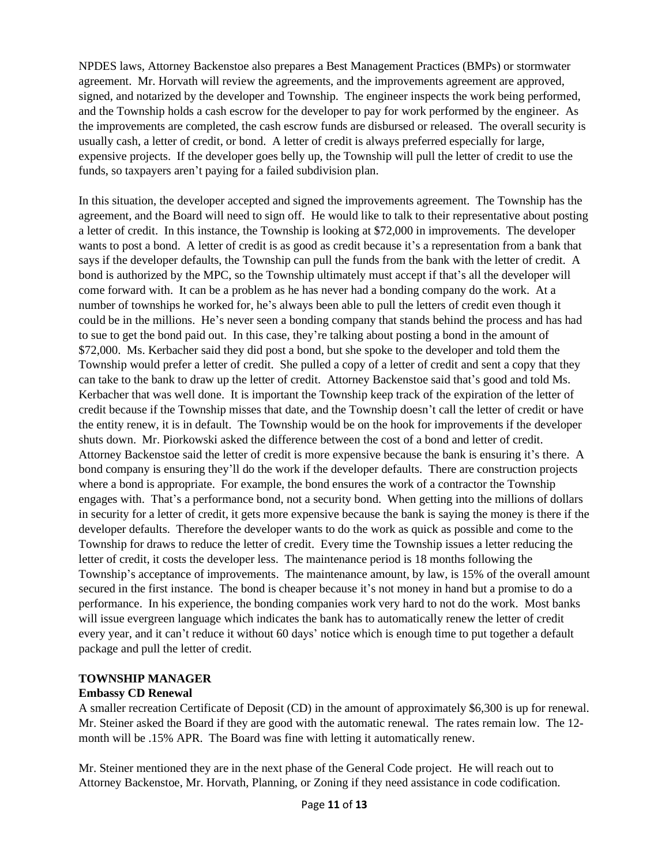NPDES laws, Attorney Backenstoe also prepares a Best Management Practices (BMPs) or stormwater agreement. Mr. Horvath will review the agreements, and the improvements agreement are approved, signed, and notarized by the developer and Township. The engineer inspects the work being performed, and the Township holds a cash escrow for the developer to pay for work performed by the engineer. As the improvements are completed, the cash escrow funds are disbursed or released. The overall security is usually cash, a letter of credit, or bond. A letter of credit is always preferred especially for large, expensive projects. If the developer goes belly up, the Township will pull the letter of credit to use the funds, so taxpayers aren't paying for a failed subdivision plan.

In this situation, the developer accepted and signed the improvements agreement. The Township has the agreement, and the Board will need to sign off. He would like to talk to their representative about posting a letter of credit. In this instance, the Township is looking at \$72,000 in improvements. The developer wants to post a bond. A letter of credit is as good as credit because it's a representation from a bank that says if the developer defaults, the Township can pull the funds from the bank with the letter of credit. A bond is authorized by the MPC, so the Township ultimately must accept if that's all the developer will come forward with. It can be a problem as he has never had a bonding company do the work. At a number of townships he worked for, he's always been able to pull the letters of credit even though it could be in the millions. He's never seen a bonding company that stands behind the process and has had to sue to get the bond paid out. In this case, they're talking about posting a bond in the amount of \$72,000. Ms. Kerbacher said they did post a bond, but she spoke to the developer and told them the Township would prefer a letter of credit. She pulled a copy of a letter of credit and sent a copy that they can take to the bank to draw up the letter of credit. Attorney Backenstoe said that's good and told Ms. Kerbacher that was well done. It is important the Township keep track of the expiration of the letter of credit because if the Township misses that date, and the Township doesn't call the letter of credit or have the entity renew, it is in default. The Township would be on the hook for improvements if the developer shuts down. Mr. Piorkowski asked the difference between the cost of a bond and letter of credit. Attorney Backenstoe said the letter of credit is more expensive because the bank is ensuring it's there. A bond company is ensuring they'll do the work if the developer defaults. There are construction projects where a bond is appropriate. For example, the bond ensures the work of a contractor the Township engages with. That's a performance bond, not a security bond. When getting into the millions of dollars in security for a letter of credit, it gets more expensive because the bank is saying the money is there if the developer defaults. Therefore the developer wants to do the work as quick as possible and come to the Township for draws to reduce the letter of credit. Every time the Township issues a letter reducing the letter of credit, it costs the developer less. The maintenance period is 18 months following the Township's acceptance of improvements. The maintenance amount, by law, is 15% of the overall amount secured in the first instance. The bond is cheaper because it's not money in hand but a promise to do a performance. In his experience, the bonding companies work very hard to not do the work. Most banks will issue evergreen language which indicates the bank has to automatically renew the letter of credit every year, and it can't reduce it without 60 days' notice which is enough time to put together a default package and pull the letter of credit.

#### **TOWNSHIP MANAGER**

#### **Embassy CD Renewal**

A smaller recreation Certificate of Deposit (CD) in the amount of approximately \$6,300 is up for renewal. Mr. Steiner asked the Board if they are good with the automatic renewal. The rates remain low. The 12 month will be .15% APR. The Board was fine with letting it automatically renew.

Mr. Steiner mentioned they are in the next phase of the General Code project. He will reach out to Attorney Backenstoe, Mr. Horvath, Planning, or Zoning if they need assistance in code codification.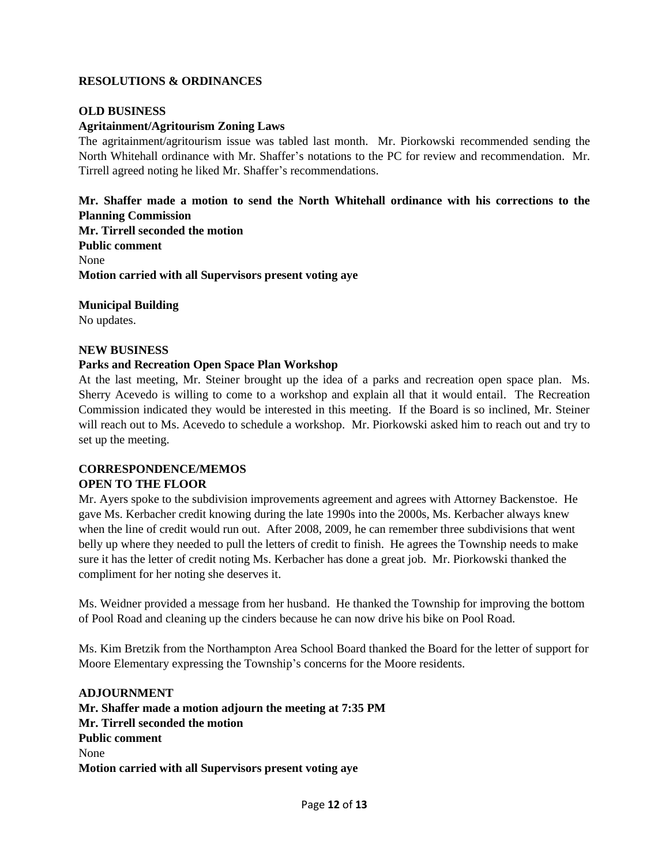## **RESOLUTIONS & ORDINANCES**

#### **OLD BUSINESS**

### **Agritainment/Agritourism Zoning Laws**

The agritainment/agritourism issue was tabled last month. Mr. Piorkowski recommended sending the North Whitehall ordinance with Mr. Shaffer's notations to the PC for review and recommendation. Mr. Tirrell agreed noting he liked Mr. Shaffer's recommendations.

**Mr. Shaffer made a motion to send the North Whitehall ordinance with his corrections to the Planning Commission Mr. Tirrell seconded the motion Public comment** None **Motion carried with all Supervisors present voting aye**

**Municipal Building**

No updates.

#### **NEW BUSINESS**

#### **Parks and Recreation Open Space Plan Workshop**

At the last meeting, Mr. Steiner brought up the idea of a parks and recreation open space plan. Ms. Sherry Acevedo is willing to come to a workshop and explain all that it would entail. The Recreation Commission indicated they would be interested in this meeting. If the Board is so inclined, Mr. Steiner will reach out to Ms. Acevedo to schedule a workshop. Mr. Piorkowski asked him to reach out and try to set up the meeting.

# **CORRESPONDENCE/MEMOS OPEN TO THE FLOOR**

Mr. Ayers spoke to the subdivision improvements agreement and agrees with Attorney Backenstoe. He gave Ms. Kerbacher credit knowing during the late 1990s into the 2000s, Ms. Kerbacher always knew when the line of credit would run out. After 2008, 2009, he can remember three subdivisions that went belly up where they needed to pull the letters of credit to finish. He agrees the Township needs to make sure it has the letter of credit noting Ms. Kerbacher has done a great job. Mr. Piorkowski thanked the compliment for her noting she deserves it.

Ms. Weidner provided a message from her husband. He thanked the Township for improving the bottom of Pool Road and cleaning up the cinders because he can now drive his bike on Pool Road.

Ms. Kim Bretzik from the Northampton Area School Board thanked the Board for the letter of support for Moore Elementary expressing the Township's concerns for the Moore residents.

#### **ADJOURNMENT**

**Mr. Shaffer made a motion adjourn the meeting at 7:35 PM Mr. Tirrell seconded the motion Public comment** None **Motion carried with all Supervisors present voting aye**